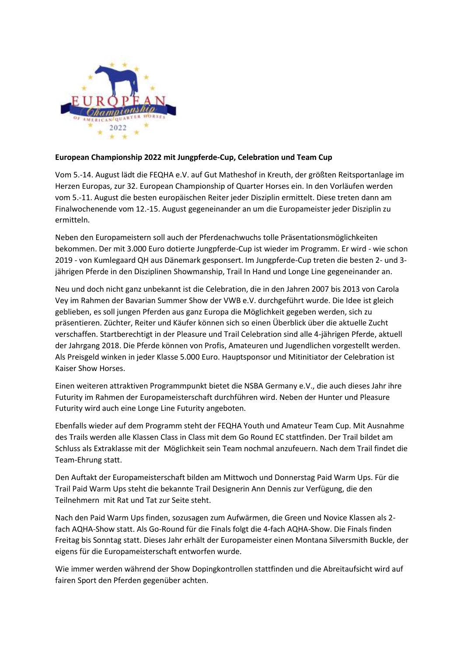

## **European Championship 2022 mit Jungpferde-Cup, Celebration und Team Cup**

Vom 5.-14. August lädt die FEQHA e.V. auf Gut Matheshof in Kreuth, der größten Reitsportanlage im Herzen Europas, zur 32. European Championship of Quarter Horses ein. In den Vorläufen werden vom 5.-11. August die besten europäischen Reiter jeder Disziplin ermittelt. Diese treten dann am Finalwochenende vom 12.-15. August gegeneinander an um die Europameister jeder Disziplin zu ermitteln.

Neben den Europameistern soll auch der Pferdenachwuchs tolle Präsentationsmöglichkeiten bekommen. Der mit 3.000 Euro dotierte Jungpferde-Cup ist wieder im Programm. Er wird - wie schon 2019 - von Kumlegaard QH aus Dänemark gesponsert. Im Jungpferde-Cup treten die besten 2- und 3 jährigen Pferde in den Disziplinen Showmanship, Trail In Hand und Longe Line gegeneinander an.

Neu und doch nicht ganz unbekannt ist die Celebration, die in den Jahren 2007 bis 2013 von Carola Vey im Rahmen der Bavarian Summer Show der VWB e.V. durchgeführt wurde. Die Idee ist gleich geblieben, es soll jungen Pferden aus ganz Europa die Möglichkeit gegeben werden, sich zu präsentieren. Züchter, Reiter und Käufer können sich so einen Überblick über die aktuelle Zucht verschaffen. Startberechtigt in der Pleasure und Trail Celebration sind alle 4-jährigen Pferde, aktuell der Jahrgang 2018. Die Pferde können von Profis, Amateuren und Jugendlichen vorgestellt werden. Als Preisgeld winken in jeder Klasse 5.000 Euro. Hauptsponsor und Mitinitiator der Celebration ist Kaiser Show Horses.

Einen weiteren attraktiven Programmpunkt bietet die NSBA Germany e.V., die auch dieses Jahr ihre Futurity im Rahmen der Europameisterschaft durchführen wird. Neben der Hunter und Pleasure Futurity wird auch eine Longe Line Futurity angeboten.

Ebenfalls wieder auf dem Programm steht der FEQHA Youth und Amateur Team Cup. Mit Ausnahme des Trails werden alle Klassen Class in Class mit dem Go Round EC stattfinden. Der Trail bildet am Schluss als Extraklasse mit der Möglichkeit sein Team nochmal anzufeuern. Nach dem Trail findet die Team-Ehrung statt.

Den Auftakt der Europameisterschaft bilden am Mittwoch und Donnerstag Paid Warm Ups. Für die Trail Paid Warm Ups steht die bekannte Trail Designerin Ann Dennis zur Verfügung, die den Teilnehmern mit Rat und Tat zur Seite steht.

Nach den Paid Warm Ups finden, sozusagen zum Aufwärmen, die Green und Novice Klassen als 2 fach AQHA-Show statt. Als Go-Round für die Finals folgt die 4-fach AQHA-Show. Die Finals finden Freitag bis Sonntag statt. Dieses Jahr erhält der Europameister einen Montana Silversmith Buckle, der eigens für die Europameisterschaft entworfen wurde.

Wie immer werden während der Show Dopingkontrollen stattfinden und die Abreitaufsicht wird auf fairen Sport den Pferden gegenüber achten.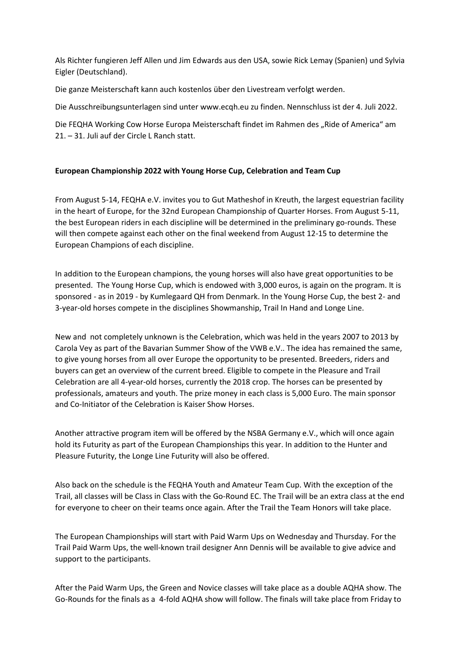Als Richter fungieren Jeff Allen und Jim Edwards aus den USA, sowie Rick Lemay (Spanien) und Sylvia Eigler (Deutschland).

Die ganze Meisterschaft kann auch kostenlos über den Livestream verfolgt werden.

Die Ausschreibungsunterlagen sind unter [www.ecqh.eu](http://www.ecqh.eu/) zu finden. Nennschluss ist der 4. Juli 2022.

Die FEQHA Working Cow Horse Europa Meisterschaft findet im Rahmen des "Ride of America" am 21. – 31. Juli auf der Circle L Ranch statt.

## **European Championship 2022 with Young Horse Cup, Celebration and Team Cup**

From August 5-14, FEQHA e.V. invites you to Gut Matheshof in Kreuth, the largest equestrian facility in the heart of Europe, for the 32nd European Championship of Quarter Horses. From August 5-11, the best European riders in each discipline will be determined in the preliminary go-rounds. These will then compete against each other on the final weekend from August 12-15 to determine the European Champions of each discipline.

In addition to the European champions, the young horses will also have great opportunities to be presented. The Young Horse Cup, which is endowed with 3,000 euros, is again on the program. It is sponsored - as in 2019 - by Kumlegaard QH from Denmark. In the Young Horse Cup, the best 2- and 3-year-old horses compete in the disciplines Showmanship, Trail In Hand and Longe Line.

New and not completely unknown is the Celebration, which was held in the years 2007 to 2013 by Carola Vey as part of the Bavarian Summer Show of the VWB e.V.. The idea has remained the same, to give young horses from all over Europe the opportunity to be presented. Breeders, riders and buyers can get an overview of the current breed. Eligible to compete in the Pleasure and Trail Celebration are all 4-year-old horses, currently the 2018 crop. The horses can be presented by professionals, amateurs and youth. The prize money in each class is 5,000 Euro. The main sponsor and Co-Initiator of the Celebration is Kaiser Show Horses.

Another attractive program item will be offered by the NSBA Germany e.V., which will once again hold its Futurity as part of the European Championships this year. In addition to the Hunter and Pleasure Futurity, the Longe Line Futurity will also be offered.

Also back on the schedule is the FEQHA Youth and Amateur Team Cup. With the exception of the Trail, all classes will be Class in Class with the Go-Round EC. The Trail will be an extra class at the end for everyone to cheer on their teams once again. After the Trail the Team Honors will take place.

The European Championships will start with Paid Warm Ups on Wednesday and Thursday. For the Trail Paid Warm Ups, the well-known trail designer Ann Dennis will be available to give advice and support to the participants.

After the Paid Warm Ups, the Green and Novice classes will take place as a double AQHA show. The Go-Rounds for the finals as a 4-fold AQHA show will follow. The finals will take place from Friday to